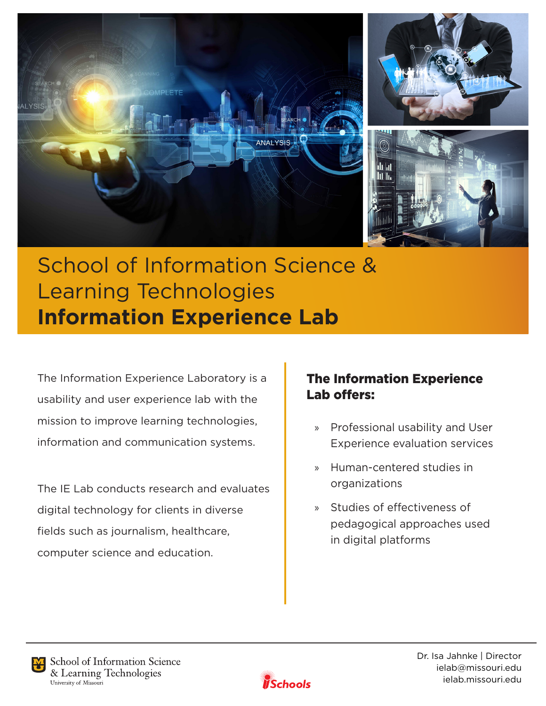

# School of Information Science & Learning Technologies **Information Experience Lab**

The Information Experience Laboratory is a usability and user experience lab with the mission to improve learning technologies, information and communication systems.

The IE Lab conducts research and evaluates digital technology for clients in diverse fields such as journalism, healthcare, computer science and education.

# The Information Experience Lab offers:

- » Professional usability and User Experience evaluation services
- » Human-centered studies in organizations
- » Studies of effectiveness of pedagogical approaches used in digital platforms